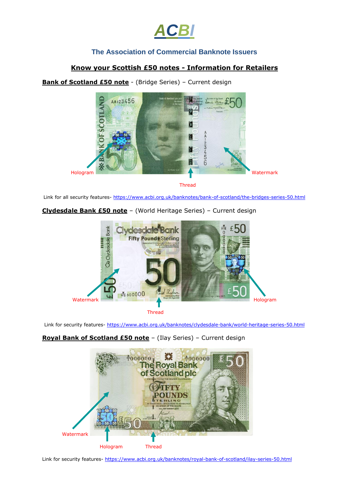

## **The Association of Commercial Banknote Issuers**

## **Know your Scottish £50 notes - Information for Retailers**

**Bank of Scotland £50 note** - (Bridge Series) – Current design



Thread

Link for all security features- <https://www.acbi.org.uk/banknotes/bank-of-scotland/the-bridges-series-50.html>

**Clydesdale Bank £50 note** – (World Heritage Series) – Current design



Thread

Link for security features- <https://www.acbi.org.uk/banknotes/clydesdale-bank/world-heritage-series-50.html>



**Royal Bank of Scotland £50 note** – (Ilay Series) – Current design

Link for security features- <https://www.acbi.org.uk/banknotes/royal-bank-of-scotland/ilay-series-50.html>